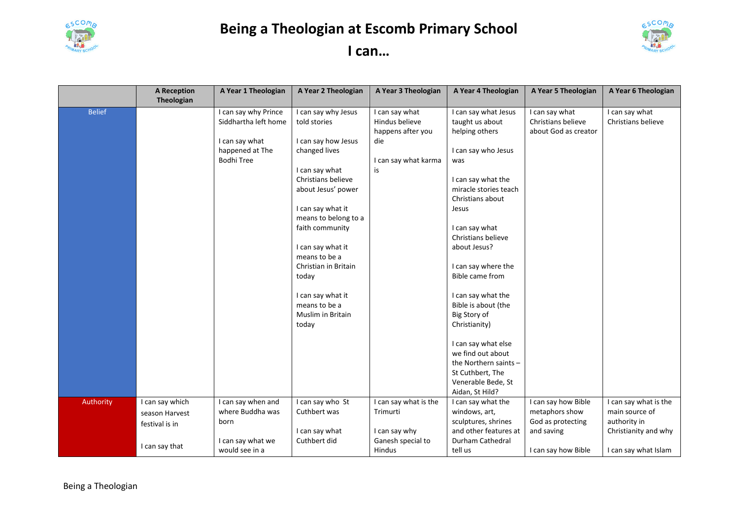

## **Being a Theologian at Escomb Primary School**



| can |  |
|-----|--|
|-----|--|

|               | <b>A Reception</b><br>Theologian                    | A Year 1 Theologian                                                                                    | A Year 2 Theologian                                                                                                                                                                                                                                                                                                                                  | A Year 3 Theologian                                                                        | A Year 4 Theologian                                                                                                                                                                                                                                                                                                                                                                             | A Year 5 Theologian                                                      | A Year 6 Theologian                                                             |
|---------------|-----------------------------------------------------|--------------------------------------------------------------------------------------------------------|------------------------------------------------------------------------------------------------------------------------------------------------------------------------------------------------------------------------------------------------------------------------------------------------------------------------------------------------------|--------------------------------------------------------------------------------------------|-------------------------------------------------------------------------------------------------------------------------------------------------------------------------------------------------------------------------------------------------------------------------------------------------------------------------------------------------------------------------------------------------|--------------------------------------------------------------------------|---------------------------------------------------------------------------------|
| <b>Belief</b> |                                                     | I can say why Prince<br>Siddhartha left home<br>I can say what<br>happened at The<br><b>Bodhi Tree</b> | I can say why Jesus<br>told stories<br>I can say how Jesus<br>changed lives<br>I can say what<br>Christians believe<br>about Jesus' power<br>I can say what it<br>means to belong to a<br>faith community<br>I can say what it<br>means to be a<br>Christian in Britain<br>today<br>I can say what it<br>means to be a<br>Muslim in Britain<br>today | I can say what<br>Hindus believe<br>happens after you<br>die<br>I can say what karma<br>is | I can say what Jesus<br>taught us about<br>helping others<br>I can say who Jesus<br>was<br>I can say what the<br>miracle stories teach<br>Christians about<br>Jesus<br>I can say what<br>Christians believe<br>about Jesus?<br>I can say where the<br>Bible came from<br>I can say what the<br>Bible is about (the<br>Big Story of<br>Christianity)<br>I can say what else<br>we find out about | I can say what<br>Christians believe<br>about God as creator             | I can say what<br>Christians believe                                            |
|               |                                                     |                                                                                                        |                                                                                                                                                                                                                                                                                                                                                      |                                                                                            | the Northern saints -<br>St Cuthbert, The<br>Venerable Bede, St<br>Aidan, St Hild?                                                                                                                                                                                                                                                                                                              |                                                                          |                                                                                 |
| Authority     | I can say which<br>season Harvest<br>festival is in | I can say when and<br>where Buddha was<br>born                                                         | I can say who St<br>Cuthbert was<br>I can say what                                                                                                                                                                                                                                                                                                   | I can say what is the<br>Trimurti<br>I can say why                                         | I can say what the<br>windows, art,<br>sculptures, shrines<br>and other features at                                                                                                                                                                                                                                                                                                             | I can say how Bible<br>metaphors show<br>God as protecting<br>and saving | I can say what is the<br>main source of<br>authority in<br>Christianity and why |
|               | I can say that                                      | I can say what we<br>would see in a                                                                    | Cuthbert did                                                                                                                                                                                                                                                                                                                                         | Ganesh special to<br>Hindus                                                                | Durham Cathedral<br>tell us                                                                                                                                                                                                                                                                                                                                                                     | I can say how Bible                                                      | I can say what Islam                                                            |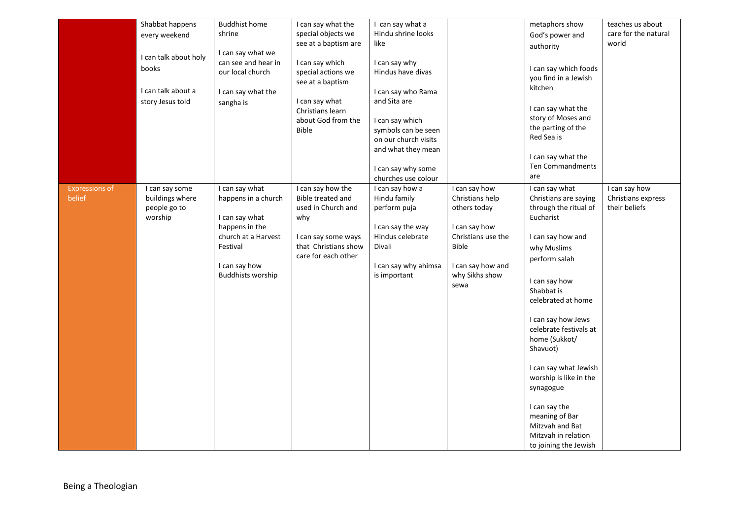|                       | Shabbat happens       | <b>Buddhist home</b>     | I can say what the   | I can say what a     |                    | metaphors show                  | teaches us about     |
|-----------------------|-----------------------|--------------------------|----------------------|----------------------|--------------------|---------------------------------|----------------------|
|                       | every weekend         | shrine                   | special objects we   | Hindu shrine looks   |                    | God's power and                 | care for the natural |
|                       |                       |                          | see at a baptism are | like                 |                    | authority                       | world                |
|                       | I can talk about holy | I can say what we        |                      |                      |                    |                                 |                      |
|                       |                       | can see and hear in      | I can say which      | I can say why        |                    | I can say which foods           |                      |
|                       | books                 | our local church         | special actions we   | Hindus have divas    |                    |                                 |                      |
|                       |                       |                          | see at a baptism     |                      |                    | you find in a Jewish<br>kitchen |                      |
|                       | I can talk about a    | I can say what the       |                      | I can say who Rama   |                    |                                 |                      |
|                       | story Jesus told      | sangha is                | I can say what       | and Sita are         |                    |                                 |                      |
|                       |                       |                          | Christians learn     |                      |                    | I can say what the              |                      |
|                       |                       |                          | about God from the   | I can say which      |                    | story of Moses and              |                      |
|                       |                       |                          | <b>Bible</b>         | symbols can be seen  |                    | the parting of the              |                      |
|                       |                       |                          |                      | on our church visits |                    | Red Sea is                      |                      |
|                       |                       |                          |                      | and what they mean   |                    |                                 |                      |
|                       |                       |                          |                      |                      |                    | I can say what the              |                      |
|                       |                       |                          |                      | I can say why some   |                    | <b>Ten Commandments</b>         |                      |
|                       |                       |                          |                      | churches use colour  |                    | are                             |                      |
| <b>Expressions of</b> | I can say some        | I can say what           | I can say how the    | I can say how a      | I can say how      | I can say what                  | I can say how        |
| belief                | buildings where       | happens in a church      | Bible treated and    | Hindu family         | Christians help    | Christians are saying           | Christians express   |
|                       | people go to          |                          | used in Church and   | perform puja         | others today       | through the ritual of           | their beliefs        |
|                       | worship               | I can say what           | why                  |                      |                    | Eucharist                       |                      |
|                       |                       | happens in the           |                      | I can say the way    | I can say how      |                                 |                      |
|                       |                       | church at a Harvest      | I can say some ways  | Hindus celebrate     | Christians use the | I can say how and               |                      |
|                       |                       | Festival                 | that Christians show | Divali               | <b>Bible</b>       | why Muslims                     |                      |
|                       |                       |                          | care for each other  |                      |                    | perform salah                   |                      |
|                       |                       | I can say how            |                      | I can say why ahimsa | I can say how and  |                                 |                      |
|                       |                       | <b>Buddhists worship</b> |                      | is important         | why Sikhs show     | I can say how                   |                      |
|                       |                       |                          |                      |                      | sewa               | Shabbat is                      |                      |
|                       |                       |                          |                      |                      |                    | celebrated at home              |                      |
|                       |                       |                          |                      |                      |                    |                                 |                      |
|                       |                       |                          |                      |                      |                    | I can say how Jews              |                      |
|                       |                       |                          |                      |                      |                    | celebrate festivals at          |                      |
|                       |                       |                          |                      |                      |                    | home (Sukkot/                   |                      |
|                       |                       |                          |                      |                      |                    | Shavuot)                        |                      |
|                       |                       |                          |                      |                      |                    |                                 |                      |
|                       |                       |                          |                      |                      |                    | I can say what Jewish           |                      |
|                       |                       |                          |                      |                      |                    | worship is like in the          |                      |
|                       |                       |                          |                      |                      |                    | synagogue                       |                      |
|                       |                       |                          |                      |                      |                    |                                 |                      |
|                       |                       |                          |                      |                      |                    | I can say the                   |                      |
|                       |                       |                          |                      |                      |                    | meaning of Bar                  |                      |
|                       |                       |                          |                      |                      |                    | Mitzvah and Bat                 |                      |
|                       |                       |                          |                      |                      |                    | Mitzvah in relation             |                      |
|                       |                       |                          |                      |                      |                    | to joining the Jewish           |                      |